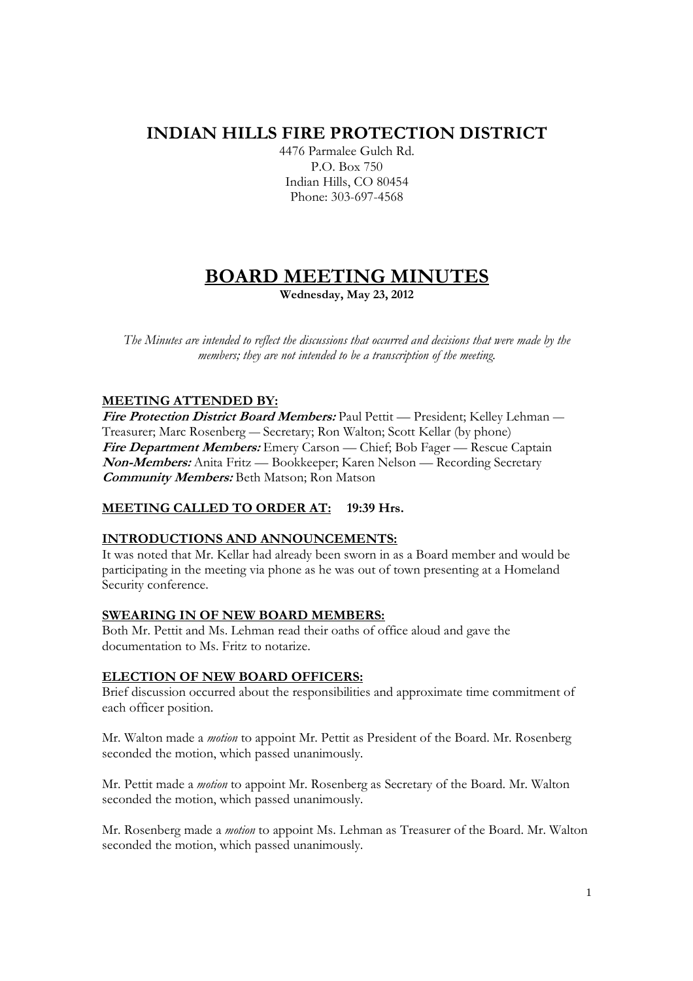## **INDIAN HILLS FIRE PROTECTION DISTRICT**

4476 Parmalee Gulch Rd. P.O. Box 750 Indian Hills, CO 80454 Phone: 303-697-4568

# **BOARD MEETING MINUTES**

**Wednesday, May 23, 2012** 

*The Minutes are intended to reflect the discussions that occurred and decisions that were made by the members; they are not intended to be a transcription of the meeting.* 

## **MEETING ATTENDED BY:**

**Fire Protection District Board Members:** Paul Pettit — President; Kelley Lehman — Treasurer; Marc Rosenberg — Secretary; Ron Walton; Scott Kellar (by phone) **Fire Department Members:** Emery Carson — Chief; Bob Fager — Rescue Captain **Non-Members:** Anita Fritz — Bookkeeper; Karen Nelson — Recording Secretary **Community Members:** Beth Matson; Ron Matson

## **MEETING CALLED TO ORDER AT: 19:39 Hrs.**

## **INTRODUCTIONS AND ANNOUNCEMENTS:**

It was noted that Mr. Kellar had already been sworn in as a Board member and would be participating in the meeting via phone as he was out of town presenting at a Homeland Security conference.

## **SWEARING IN OF NEW BOARD MEMBERS:**

Both Mr. Pettit and Ms. Lehman read their oaths of office aloud and gave the documentation to Ms. Fritz to notarize.

## **ELECTION OF NEW BOARD OFFICERS:**

Brief discussion occurred about the responsibilities and approximate time commitment of each officer position.

Mr. Walton made a *motion* to appoint Mr. Pettit as President of the Board. Mr. Rosenberg seconded the motion, which passed unanimously.

Mr. Pettit made a *motion* to appoint Mr. Rosenberg as Secretary of the Board. Mr. Walton seconded the motion, which passed unanimously.

Mr. Rosenberg made a *motion* to appoint Ms. Lehman as Treasurer of the Board. Mr. Walton seconded the motion, which passed unanimously.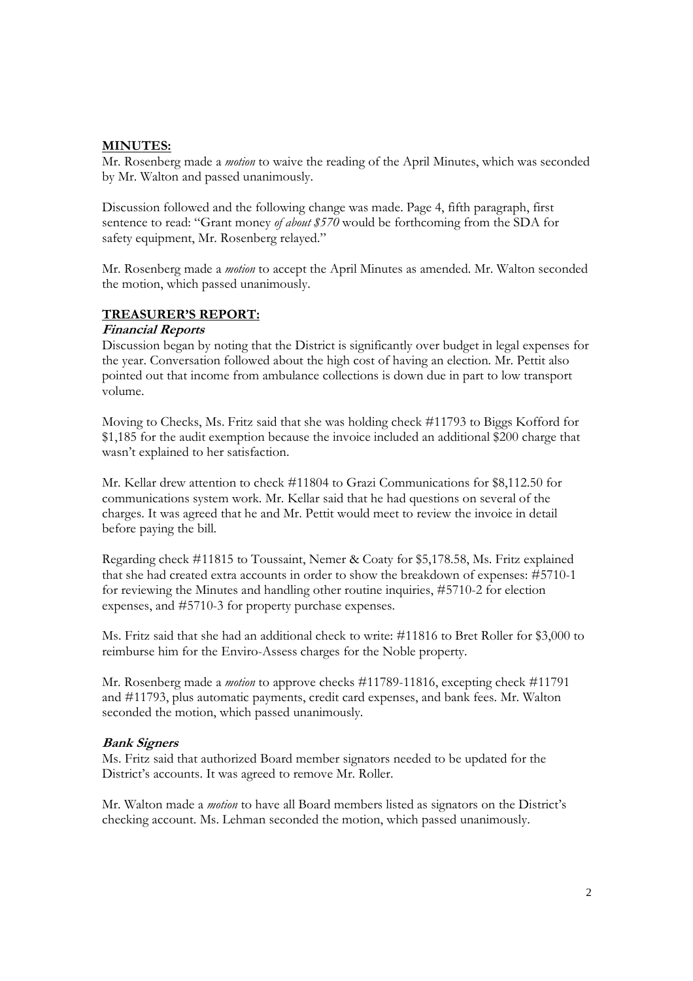#### **MINUTES:**

Mr. Rosenberg made a *motion* to waive the reading of the April Minutes, which was seconded by Mr. Walton and passed unanimously.

Discussion followed and the following change was made. Page 4, fifth paragraph, first sentence to read: "Grant money *of about \$570* would be forthcoming from the SDA for safety equipment, Mr. Rosenberg relayed."

Mr. Rosenberg made a *motion* to accept the April Minutes as amended. Mr. Walton seconded the motion, which passed unanimously.

#### **TREASURER'S REPORT:**

#### **Financial Reports**

Discussion began by noting that the District is significantly over budget in legal expenses for the year. Conversation followed about the high cost of having an election. Mr. Pettit also pointed out that income from ambulance collections is down due in part to low transport volume.

Moving to Checks, Ms. Fritz said that she was holding check #11793 to Biggs Kofford for \$1,185 for the audit exemption because the invoice included an additional \$200 charge that wasn't explained to her satisfaction.

Mr. Kellar drew attention to check #11804 to Grazi Communications for \$8,112.50 for communications system work. Mr. Kellar said that he had questions on several of the charges. It was agreed that he and Mr. Pettit would meet to review the invoice in detail before paying the bill.

Regarding check #11815 to Toussaint, Nemer & Coaty for \$5,178.58, Ms. Fritz explained that she had created extra accounts in order to show the breakdown of expenses: #5710-1 for reviewing the Minutes and handling other routine inquiries, #5710-2 for election expenses, and #5710-3 for property purchase expenses.

Ms. Fritz said that she had an additional check to write: #11816 to Bret Roller for \$3,000 to reimburse him for the Enviro-Assess charges for the Noble property.

Mr. Rosenberg made a *motion* to approve checks #11789-11816, excepting check #11791 and #11793, plus automatic payments, credit card expenses, and bank fees. Mr. Walton seconded the motion, which passed unanimously.

#### **Bank Signers**

Ms. Fritz said that authorized Board member signators needed to be updated for the District's accounts. It was agreed to remove Mr. Roller.

Mr. Walton made a *motion* to have all Board members listed as signators on the District's checking account. Ms. Lehman seconded the motion, which passed unanimously.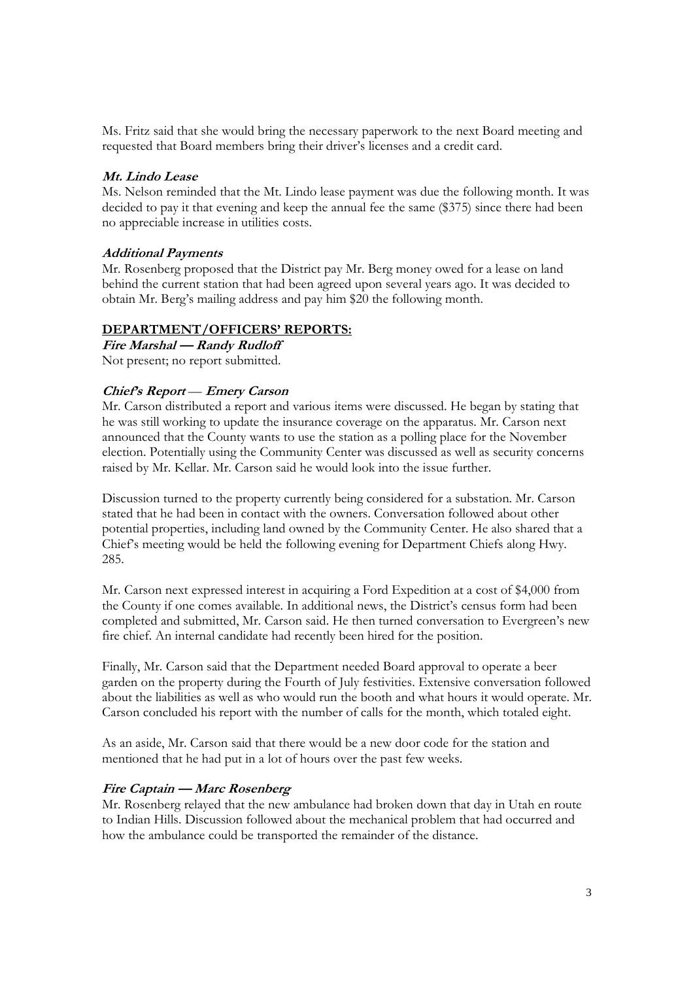Ms. Fritz said that she would bring the necessary paperwork to the next Board meeting and requested that Board members bring their driver's licenses and a credit card.

### **Mt. Lindo Lease**

Ms. Nelson reminded that the Mt. Lindo lease payment was due the following month. It was decided to pay it that evening and keep the annual fee the same (\$375) since there had been no appreciable increase in utilities costs.

#### **Additional Payments**

Mr. Rosenberg proposed that the District pay Mr. Berg money owed for a lease on land behind the current station that had been agreed upon several years ago. It was decided to obtain Mr. Berg's mailing address and pay him \$20 the following month.

#### **DEPARTMENT/OFFICERS' REPORTS:**

**Fire Marshal — Randy Rudloff**  Not present; no report submitted.

#### **Chief's Report** — **Emery Carson**

Mr. Carson distributed a report and various items were discussed. He began by stating that he was still working to update the insurance coverage on the apparatus. Mr. Carson next announced that the County wants to use the station as a polling place for the November election. Potentially using the Community Center was discussed as well as security concerns raised by Mr. Kellar. Mr. Carson said he would look into the issue further.

Discussion turned to the property currently being considered for a substation. Mr. Carson stated that he had been in contact with the owners. Conversation followed about other potential properties, including land owned by the Community Center. He also shared that a Chief's meeting would be held the following evening for Department Chiefs along Hwy. 285.

Mr. Carson next expressed interest in acquiring a Ford Expedition at a cost of \$4,000 from the County if one comes available. In additional news, the District's census form had been completed and submitted, Mr. Carson said. He then turned conversation to Evergreen's new fire chief. An internal candidate had recently been hired for the position.

Finally, Mr. Carson said that the Department needed Board approval to operate a beer garden on the property during the Fourth of July festivities. Extensive conversation followed about the liabilities as well as who would run the booth and what hours it would operate. Mr. Carson concluded his report with the number of calls for the month, which totaled eight.

As an aside, Mr. Carson said that there would be a new door code for the station and mentioned that he had put in a lot of hours over the past few weeks.

#### **Fire Captain — Marc Rosenberg**

Mr. Rosenberg relayed that the new ambulance had broken down that day in Utah en route to Indian Hills. Discussion followed about the mechanical problem that had occurred and how the ambulance could be transported the remainder of the distance.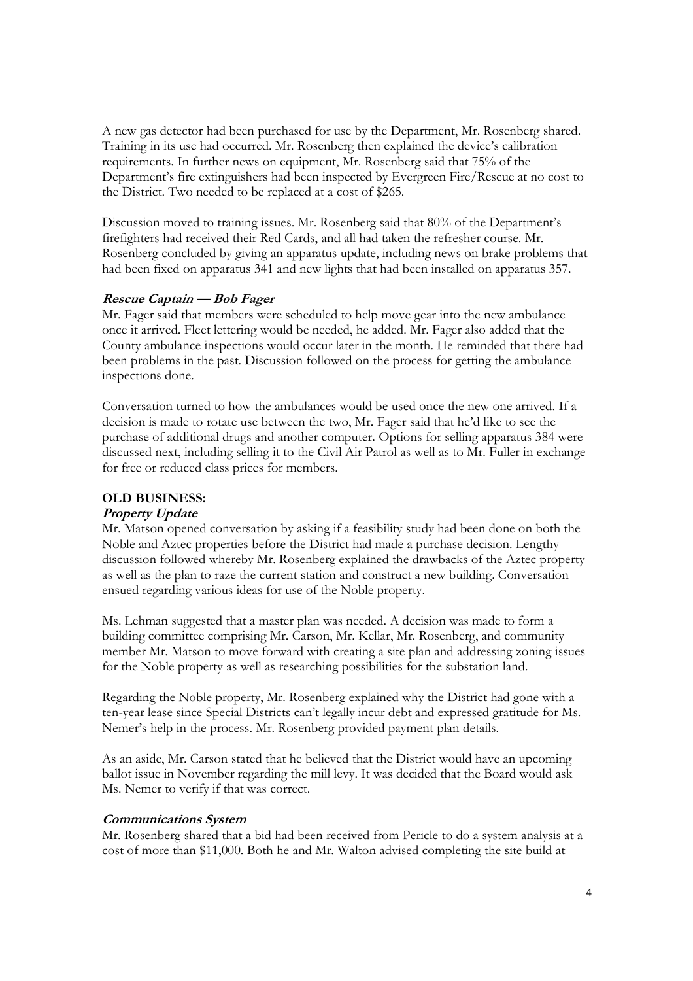A new gas detector had been purchased for use by the Department, Mr. Rosenberg shared. Training in its use had occurred. Mr. Rosenberg then explained the device's calibration requirements. In further news on equipment, Mr. Rosenberg said that 75% of the Department's fire extinguishers had been inspected by Evergreen Fire/Rescue at no cost to the District. Two needed to be replaced at a cost of \$265.

Discussion moved to training issues. Mr. Rosenberg said that 80% of the Department's firefighters had received their Red Cards, and all had taken the refresher course. Mr. Rosenberg concluded by giving an apparatus update, including news on brake problems that had been fixed on apparatus 341 and new lights that had been installed on apparatus 357.

#### **Rescue Captain — Bob Fager**

Mr. Fager said that members were scheduled to help move gear into the new ambulance once it arrived. Fleet lettering would be needed, he added. Mr. Fager also added that the County ambulance inspections would occur later in the month. He reminded that there had been problems in the past. Discussion followed on the process for getting the ambulance inspections done.

Conversation turned to how the ambulances would be used once the new one arrived. If a decision is made to rotate use between the two, Mr. Fager said that he'd like to see the purchase of additional drugs and another computer. Options for selling apparatus 384 were discussed next, including selling it to the Civil Air Patrol as well as to Mr. Fuller in exchange for free or reduced class prices for members.

## **OLD BUSINESS:**

#### **Property Update**

Mr. Matson opened conversation by asking if a feasibility study had been done on both the Noble and Aztec properties before the District had made a purchase decision. Lengthy discussion followed whereby Mr. Rosenberg explained the drawbacks of the Aztec property as well as the plan to raze the current station and construct a new building. Conversation ensued regarding various ideas for use of the Noble property.

Ms. Lehman suggested that a master plan was needed. A decision was made to form a building committee comprising Mr. Carson, Mr. Kellar, Mr. Rosenberg, and community member Mr. Matson to move forward with creating a site plan and addressing zoning issues for the Noble property as well as researching possibilities for the substation land.

Regarding the Noble property, Mr. Rosenberg explained why the District had gone with a ten-year lease since Special Districts can't legally incur debt and expressed gratitude for Ms. Nemer's help in the process. Mr. Rosenberg provided payment plan details.

As an aside, Mr. Carson stated that he believed that the District would have an upcoming ballot issue in November regarding the mill levy. It was decided that the Board would ask Ms. Nemer to verify if that was correct.

#### **Communications System**

Mr. Rosenberg shared that a bid had been received from Pericle to do a system analysis at a cost of more than \$11,000. Both he and Mr. Walton advised completing the site build at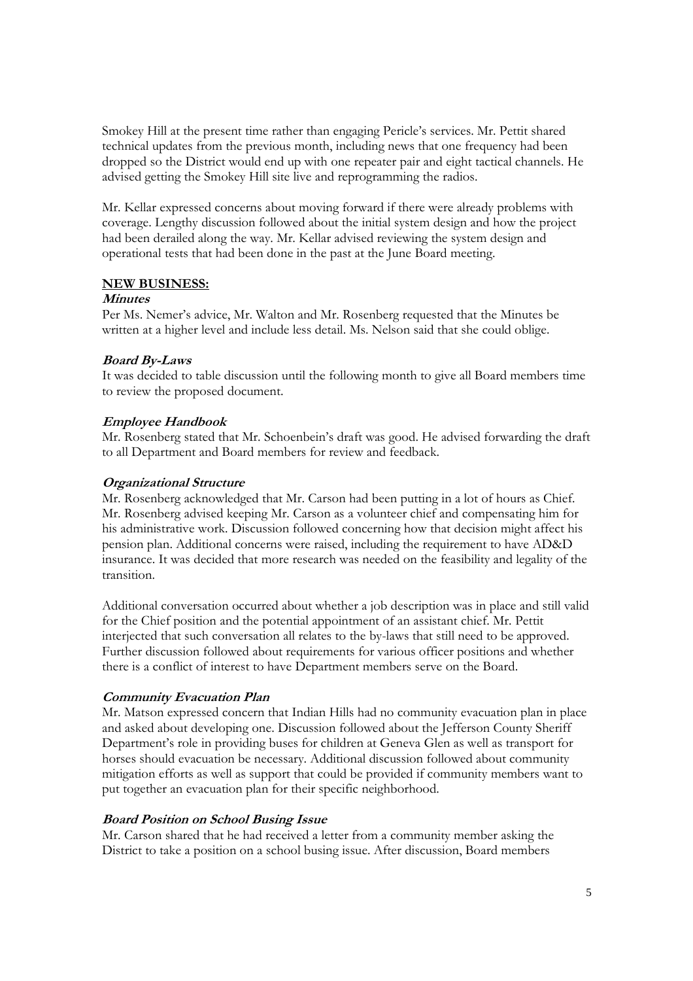Smokey Hill at the present time rather than engaging Pericle's services. Mr. Pettit shared technical updates from the previous month, including news that one frequency had been dropped so the District would end up with one repeater pair and eight tactical channels. He advised getting the Smokey Hill site live and reprogramming the radios.

Mr. Kellar expressed concerns about moving forward if there were already problems with coverage. Lengthy discussion followed about the initial system design and how the project had been derailed along the way. Mr. Kellar advised reviewing the system design and operational tests that had been done in the past at the June Board meeting.

#### **NEW BUSINESS:**

#### **Minutes**

Per Ms. Nemer's advice, Mr. Walton and Mr. Rosenberg requested that the Minutes be written at a higher level and include less detail. Ms. Nelson said that she could oblige.

## **Board By-Laws**

It was decided to table discussion until the following month to give all Board members time to review the proposed document.

## **Employee Handbook**

Mr. Rosenberg stated that Mr. Schoenbein's draft was good. He advised forwarding the draft to all Department and Board members for review and feedback.

## **Organizational Structure**

Mr. Rosenberg acknowledged that Mr. Carson had been putting in a lot of hours as Chief. Mr. Rosenberg advised keeping Mr. Carson as a volunteer chief and compensating him for his administrative work. Discussion followed concerning how that decision might affect his pension plan. Additional concerns were raised, including the requirement to have AD&D insurance. It was decided that more research was needed on the feasibility and legality of the transition.

Additional conversation occurred about whether a job description was in place and still valid for the Chief position and the potential appointment of an assistant chief. Mr. Pettit interjected that such conversation all relates to the by-laws that still need to be approved. Further discussion followed about requirements for various officer positions and whether there is a conflict of interest to have Department members serve on the Board.

## **Community Evacuation Plan**

Mr. Matson expressed concern that Indian Hills had no community evacuation plan in place and asked about developing one. Discussion followed about the Jefferson County Sheriff Department's role in providing buses for children at Geneva Glen as well as transport for horses should evacuation be necessary. Additional discussion followed about community mitigation efforts as well as support that could be provided if community members want to put together an evacuation plan for their specific neighborhood.

## **Board Position on School Busing Issue**

Mr. Carson shared that he had received a letter from a community member asking the District to take a position on a school busing issue. After discussion, Board members